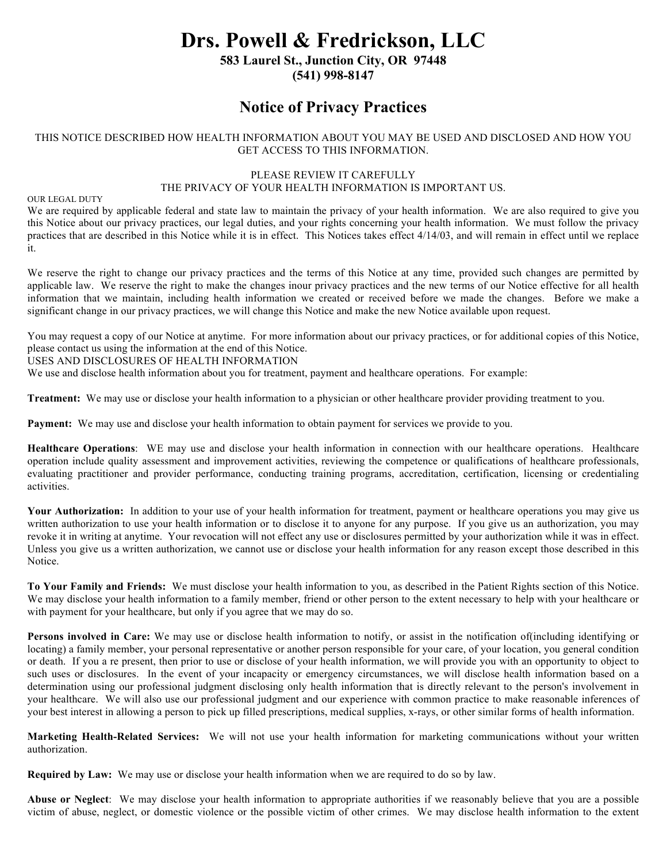# **Drs. Powell & Fredrickson, LLC**

**583 Laurel St., Junction City, OR 97448 (541) 998-8147**

## **Notice of Privacy Practices**

#### THIS NOTICE DESCRIBED HOW HEALTH INFORMATION ABOUT YOU MAY BE USED AND DISCLOSED AND HOW YOU GET ACCESS TO THIS INFORMATION.

#### PLEASE REVIEW IT CAREFULLY THE PRIVACY OF YOUR HEALTH INFORMATION IS IMPORTANT US.

#### OUR LEGAL DUTY

We are required by applicable federal and state law to maintain the privacy of your health information. We are also required to give you this Notice about our privacy practices, our legal duties, and your rights concerning your health information. We must follow the privacy practices that are described in this Notice while it is in effect. This Notices takes effect 4/14/03, and will remain in effect until we replace it.

We reserve the right to change our privacy practices and the terms of this Notice at any time, provided such changes are permitted by applicable law. We reserve the right to make the changes inour privacy practices and the new terms of our Notice effective for all health information that we maintain, including health information we created or received before we made the changes. Before we make a significant change in our privacy practices, we will change this Notice and make the new Notice available upon request.

You may request a copy of our Notice at anytime. For more information about our privacy practices, or for additional copies of this Notice, please contact us using the information at the end of this Notice.

USES AND DISCLOSURES OF HEALTH INFORMATION

We use and disclose health information about you for treatment, payment and healthcare operations. For example:

**Treatment:** We may use or disclose your health information to a physician or other healthcare provider providing treatment to you.

**Payment:** We may use and disclose your health information to obtain payment for services we provide to you.

**Healthcare Operations**: WE may use and disclose your health information in connection with our healthcare operations. Healthcare operation include quality assessment and improvement activities, reviewing the competence or qualifications of healthcare professionals, evaluating practitioner and provider performance, conducting training programs, accreditation, certification, licensing or credentialing activities.

Your Authorization: In addition to your use of your health information for treatment, payment or healthcare operations you may give us written authorization to use your health information or to disclose it to anyone for any purpose. If you give us an authorization, you may revoke it in writing at anytime. Your revocation will not effect any use or disclosures permitted by your authorization while it was in effect. Unless you give us a written authorization, we cannot use or disclose your health information for any reason except those described in this Notice.

**To Your Family and Friends:** We must disclose your health information to you, as described in the Patient Rights section of this Notice. We may disclose your health information to a family member, friend or other person to the extent necessary to help with your healthcare or with payment for your healthcare, but only if you agree that we may do so.

**Persons involved in Care:** We may use or disclose health information to notify, or assist in the notification of(including identifying or locating) a family member, your personal representative or another person responsible for your care, of your location, you general condition or death. If you a re present, then prior to use or disclose of your health information, we will provide you with an opportunity to object to such uses or disclosures. In the event of your incapacity or emergency circumstances, we will disclose health information based on a determination using our professional judgment disclosing only health information that is directly relevant to the person's involvement in your healthcare. We will also use our professional judgment and our experience with common practice to make reasonable inferences of your best interest in allowing a person to pick up filled prescriptions, medical supplies, x-rays, or other similar forms of health information.

**Marketing Health-Related Services:** We will not use your health information for marketing communications without your written authorization.

**Required by Law:** We may use or disclose your health information when we are required to do so by law.

**Abuse or Neglect**: We may disclose your health information to appropriate authorities if we reasonably believe that you are a possible victim of abuse, neglect, or domestic violence or the possible victim of other crimes. We may disclose health information to the extent